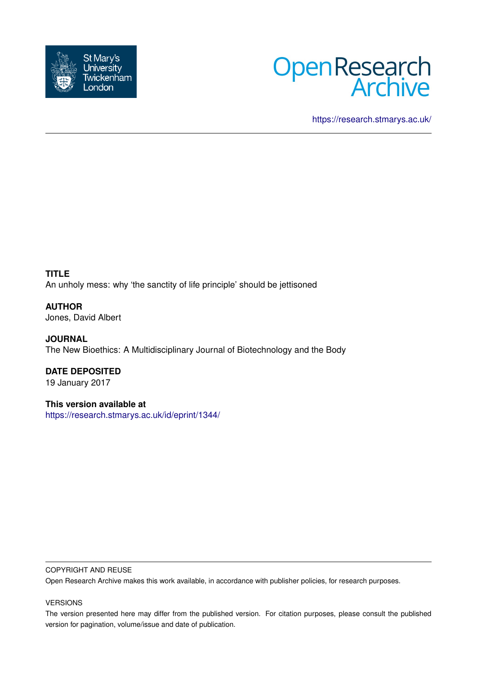



<https://research.stmarys.ac.uk/>

**TITLE** An unholy mess: why 'the sanctity of life principle' should be jettisoned

**AUTHOR** Jones, David Albert

**JOURNAL** The New Bioethics: A Multidisciplinary Journal of Biotechnology and the Body

**DATE DEPOSITED**

19 January 2017

**This version available at** <https://research.stmarys.ac.uk/id/eprint/1344/>

# COPYRIGHT AND REUSE

Open Research Archive makes this work available, in accordance with publisher policies, for research purposes.

# VERSIONS

The version presented here may differ from the published version. For citation purposes, please consult the published version for pagination, volume/issue and date of publication.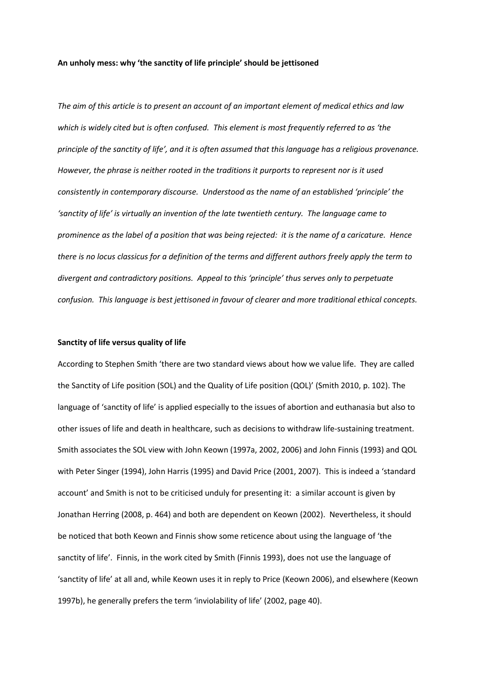### **An unholy mess: why 'the sanctity of life principle' should be jettisoned**

*The aim of this article is to present an account of an important element of medical ethics and law which is widely cited but is often confused. This element is most frequently referred to as 'the principle of the sanctity of life', and it is often assumed that this language has a religious provenance. However, the phrase is neither rooted in the traditions it purports to represent nor is it used consistently in contemporary discourse. Understood as the name of an established 'principle' the 'sanctity of life' is virtually an invention of the late twentieth century. The language came to prominence as the label of a position that was being rejected: it is the name of a caricature. Hence there is no locus classicus for a definition of the terms and different authors freely apply the term to divergent and contradictory positions. Appeal to this 'principle' thus serves only to perpetuate confusion. This language is best jettisoned in favour of clearer and more traditional ethical concepts.* 

### **Sanctity of life versus quality of life**

According to Stephen Smith 'there are two standard views about how we value life. They are called the Sanctity of Life position (SOL) and the Quality of Life position (QOL)' (Smith 2010, p. 102). The language of 'sanctity of life' is applied especially to the issues of abortion and euthanasia but also to other issues of life and death in healthcare, such as decisions to withdraw life-sustaining treatment. Smith associates the SOL view with John Keown (1997a, 2002, 2006) and John Finnis (1993) and QOL with Peter Singer (1994), John Harris (1995) and David Price (2001, 2007). This is indeed a 'standard account' and Smith is not to be criticised unduly for presenting it: a similar account is given by Jonathan Herring (2008, p. 464) and both are dependent on Keown (2002). Nevertheless, it should be noticed that both Keown and Finnis show some reticence about using the language of 'the sanctity of life'. Finnis, in the work cited by Smith (Finnis 1993), does not use the language of 'sanctity of life' at all and, while Keown uses it in reply to Price (Keown 2006), and elsewhere (Keown 1997b), he generally prefers the term 'inviolability of life' (2002, page 40).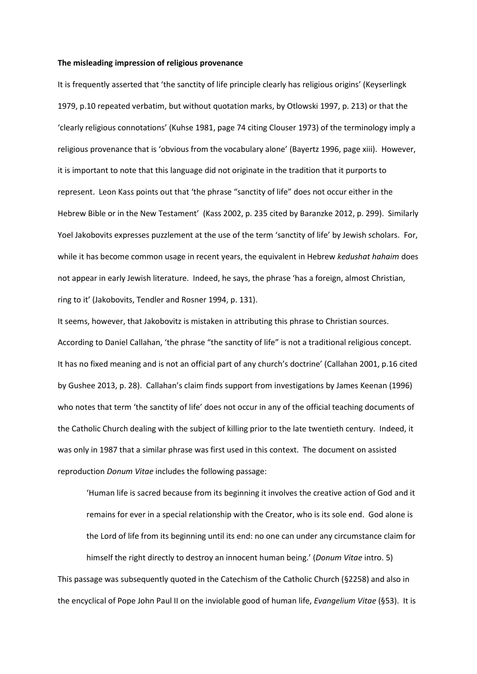### **The misleading impression of religious provenance**

It is frequently asserted that 'the sanctity of life principle clearly has religious origins' (Keyserlingk 1979, p.10 repeated verbatim, but without quotation marks, by Otlowski 1997, p. 213) or that the 'clearly religious connotations' (Kuhse 1981, page 74 citing Clouser 1973) of the terminology imply a religious provenance that is 'obvious from the vocabulary alone' (Bayertz 1996, page xiii). However, it is important to note that this language did not originate in the tradition that it purports to represent. Leon Kass points out that 'the phrase "sanctity of life" does not occur either in the Hebrew Bible or in the New Testament' (Kass 2002, p. 235 cited by Baranzke 2012, p. 299). Similarly Yoel Jakobovits expresses puzzlement at the use of the term 'sanctity of life' by Jewish scholars. For, while it has become common usage in recent years, the equivalent in Hebrew *kedushat hahaim* does not appear in early Jewish literature. Indeed, he says, the phrase 'has a foreign, almost Christian, ring to it' (Jakobovits, Tendler and Rosner 1994, p. 131).

It seems, however, that Jakobovitz is mistaken in attributing this phrase to Christian sources. According to Daniel Callahan, 'the phrase "the sanctity of life" is not a traditional religious concept. It has no fixed meaning and is not an official part of any church's doctrine' (Callahan 2001, p.16 cited by Gushee 2013, p. 28). Callahan's claim finds support from investigations by James Keenan (1996) who notes that term 'the sanctity of life' does not occur in any of the official teaching documents of the Catholic Church dealing with the subject of killing prior to the late twentieth century. Indeed, it was only in 1987 that a similar phrase was first used in this context. The document on assisted reproduction *Donum Vitae* includes the following passage:

'Human life is sacred because from its beginning it involves the creative action of God and it remains for ever in a special relationship with the Creator, who is its sole end. God alone is the Lord of life from its beginning until its end: no one can under any circumstance claim for himself the right directly to destroy an innocent human being.' (*Donum Vitae* intro. 5) This passage was subsequently quoted in the Catechism of the Catholic Church (§2258) and also in the encyclical of Pope John Paul II on the inviolable good of human life, *Evangelium Vitae* (§53). It is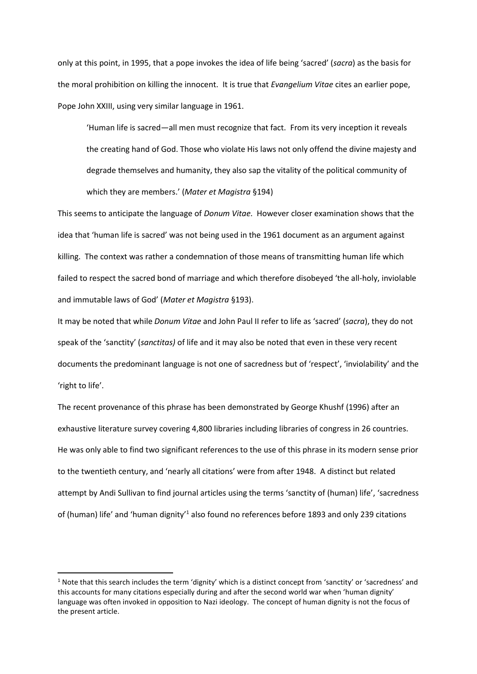only at this point, in 1995, that a pope invokes the idea of life being 'sacred' (*sacra*) as the basis for the moral prohibition on killing the innocent. It is true that *Evangelium Vitae* cites an earlier pope, Pope John XXIII, using very similar language in 1961.

'Human life is sacred—all men must recognize that fact. From its very inception it reveals the creating hand of God. Those who violate His laws not only offend the divine majesty and degrade themselves and humanity, they also sap the vitality of the political community of which they are members.' (*Mater et Magistra* §194)

This seems to anticipate the language of *Donum Vitae*. However closer examination shows that the idea that 'human life is sacred' was not being used in the 1961 document as an argument against killing. The context was rather a condemnation of those means of transmitting human life which failed to respect the sacred bond of marriage and which therefore disobeyed 'the all-holy, inviolable and immutable laws of God' (*Mater et Magistra* §193).

It may be noted that while *Donum Vitae* and John Paul II refer to life as 'sacred' (*sacra*), they do not speak of the 'sanctity' (*sanctitas)* of life and it may also be noted that even in these very recent documents the predominant language is not one of sacredness but of 'respect', 'inviolability' and the 'right to life'.

The recent provenance of this phrase has been demonstrated by George Khushf (1996) after an exhaustive literature survey covering 4,800 libraries including libraries of congress in 26 countries. He was only able to find two significant references to the use of this phrase in its modern sense prior to the twentieth century, and 'nearly all citations' were from after 1948. A distinct but related attempt by Andi Sullivan to find journal articles using the terms 'sanctity of (human) life', 'sacredness of (human) life' and 'human dignity'<sup>1</sup> also found no references before 1893 and only 239 citations

**.** 

<sup>&</sup>lt;sup>1</sup> Note that this search includes the term 'dignity' which is a distinct concept from 'sanctity' or 'sacredness' and this accounts for many citations especially during and after the second world war when 'human dignity' language was often invoked in opposition to Nazi ideology. The concept of human dignity is not the focus of the present article.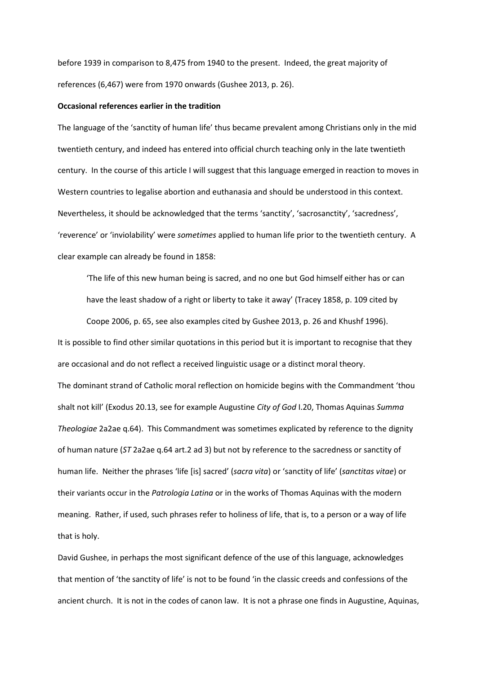before 1939 in comparison to 8,475 from 1940 to the present. Indeed, the great majority of references (6,467) were from 1970 onwards (Gushee 2013, p. 26).

### **Occasional references earlier in the tradition**

The language of the 'sanctity of human life' thus became prevalent among Christians only in the mid twentieth century, and indeed has entered into official church teaching only in the late twentieth century. In the course of this article I will suggest that this language emerged in reaction to moves in Western countries to legalise abortion and euthanasia and should be understood in this context. Nevertheless, it should be acknowledged that the terms 'sanctity', 'sacrosanctity', 'sacredness', 'reverence' or 'inviolability' were *sometimes* applied to human life prior to the twentieth century. A clear example can already be found in 1858:

'The life of this new human being is sacred, and no one but God himself either has or can have the least shadow of a right or liberty to take it away' (Tracey 1858, p. 109 cited by

Coope 2006, p. 65, see also examples cited by Gushee 2013, p. 26 and Khushf 1996). It is possible to find other similar quotations in this period but it is important to recognise that they are occasional and do not reflect a received linguistic usage or a distinct moral theory. The dominant strand of Catholic moral reflection on homicide begins with the Commandment 'thou shalt not kill' (Exodus 20.13, see for example Augustine *City of God* I.20, Thomas Aquinas *Summa Theologiae* 2a2ae q.64). This Commandment was sometimes explicated by reference to the dignity of human nature (*ST* 2a2ae q.64 art.2 ad 3) but not by reference to the sacredness or sanctity of human life. Neither the phrases 'life [is] sacred' (*sacra vita*) or 'sanctity of life' (*sanctitas vitae*) or their variants occur in the *Patrologia Latina* or in the works of Thomas Aquinas with the modern meaning. Rather, if used, such phrases refer to holiness of life, that is, to a person or a way of life that is holy.

David Gushee, in perhaps the most significant defence of the use of this language, acknowledges that mention of 'the sanctity of life' is not to be found 'in the classic creeds and confessions of the ancient church. It is not in the codes of canon law. It is not a phrase one finds in Augustine, Aquinas,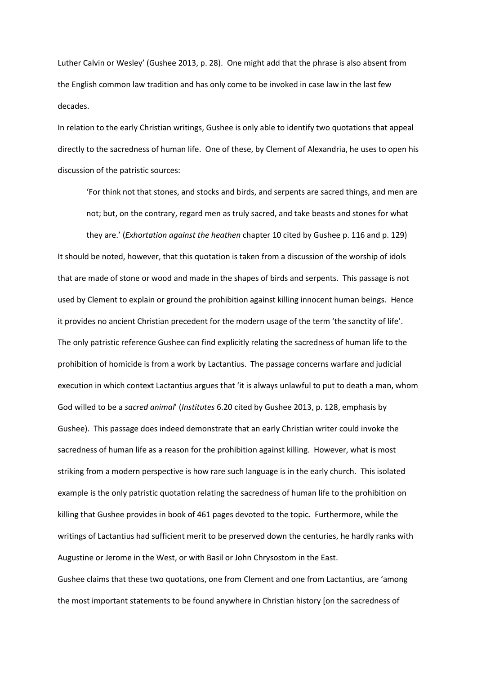Luther Calvin or Wesley' (Gushee 2013, p. 28). One might add that the phrase is also absent from the English common law tradition and has only come to be invoked in case law in the last few decades.

In relation to the early Christian writings, Gushee is only able to identify two quotations that appeal directly to the sacredness of human life. One of these, by Clement of Alexandria, he uses to open his discussion of the patristic sources:

'For think not that stones, and stocks and birds, and serpents are sacred things, and men are not; but, on the contrary, regard men as truly sacred, and take beasts and stones for what they are.' (*Exhortation against the heathen* chapter 10 cited by Gushee p. 116 and p. 129)

It should be noted, however, that this quotation is taken from a discussion of the worship of idols that are made of stone or wood and made in the shapes of birds and serpents. This passage is not used by Clement to explain or ground the prohibition against killing innocent human beings. Hence it provides no ancient Christian precedent for the modern usage of the term 'the sanctity of life'. The only patristic reference Gushee can find explicitly relating the sacredness of human life to the prohibition of homicide is from a work by Lactantius. The passage concerns warfare and judicial execution in which context Lactantius argues that 'it is always unlawful to put to death a man, whom God willed to be a *sacred animal*' (*Institutes* 6.20 cited by Gushee 2013, p. 128, emphasis by Gushee). This passage does indeed demonstrate that an early Christian writer could invoke the sacredness of human life as a reason for the prohibition against killing. However, what is most striking from a modern perspective is how rare such language is in the early church. This isolated example is the only patristic quotation relating the sacredness of human life to the prohibition on killing that Gushee provides in book of 461 pages devoted to the topic. Furthermore, while the writings of Lactantius had sufficient merit to be preserved down the centuries, he hardly ranks with Augustine or Jerome in the West, or with Basil or John Chrysostom in the East. Gushee claims that these two quotations, one from Clement and one from Lactantius, are 'among

the most important statements to be found anywhere in Christian history [on the sacredness of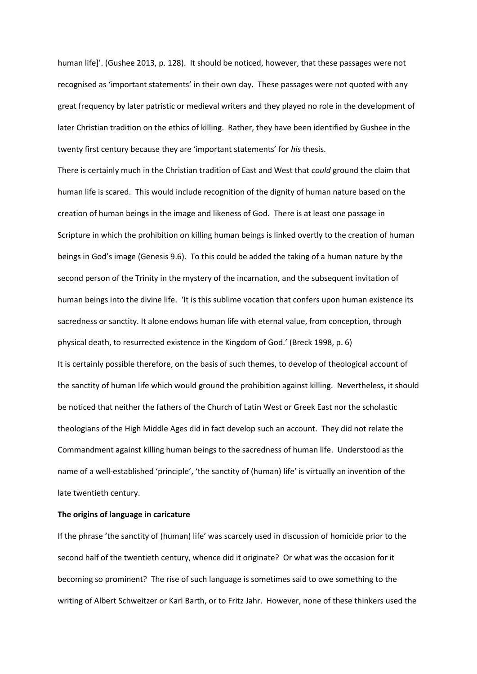human life]'. (Gushee 2013, p. 128). It should be noticed, however, that these passages were not recognised as 'important statements' in their own day. These passages were not quoted with any great frequency by later patristic or medieval writers and they played no role in the development of later Christian tradition on the ethics of killing. Rather, they have been identified by Gushee in the twenty first century because they are 'important statements' for *his* thesis.

There is certainly much in the Christian tradition of East and West that *could* ground the claim that human life is scared. This would include recognition of the dignity of human nature based on the creation of human beings in the image and likeness of God. There is at least one passage in Scripture in which the prohibition on killing human beings is linked overtly to the creation of human beings in God's image (Genesis 9.6). To this could be added the taking of a human nature by the second person of the Trinity in the mystery of the incarnation, and the subsequent invitation of human beings into the divine life. 'It is this sublime vocation that confers upon human existence its sacredness or sanctity. It alone endows human life with eternal value, from conception, through physical death, to resurrected existence in the Kingdom of God.' (Breck 1998, p. 6) It is certainly possible therefore, on the basis of such themes, to develop of theological account of the sanctity of human life which would ground the prohibition against killing. Nevertheless, it should be noticed that neither the fathers of the Church of Latin West or Greek East nor the scholastic theologians of the High Middle Ages did in fact develop such an account. They did not relate the Commandment against killing human beings to the sacredness of human life. Understood as the name of a well-established 'principle', 'the sanctity of (human) life' is virtually an invention of the late twentieth century.

## **The origins of language in caricature**

If the phrase 'the sanctity of (human) life' was scarcely used in discussion of homicide prior to the second half of the twentieth century, whence did it originate? Or what was the occasion for it becoming so prominent? The rise of such language is sometimes said to owe something to the writing of Albert Schweitzer or Karl Barth, or to Fritz Jahr. However, none of these thinkers used the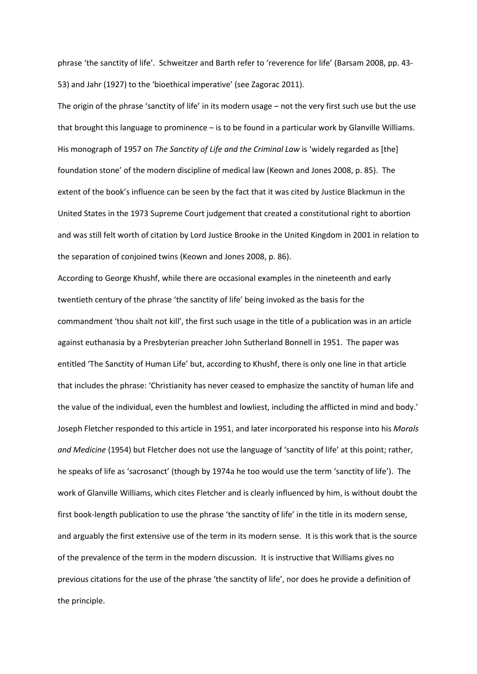phrase 'the sanctity of life'. Schweitzer and Barth refer to 'reverence for life' (Barsam 2008, pp. 43- 53) and Jahr (1927) to the 'bioethical imperative' (see Zagorac 2011).

The origin of the phrase 'sanctity of life' in its modern usage – not the very first such use but the use that brought this language to prominence – is to be found in a particular work by Glanville Williams. His monograph of 1957 on *The Sanctity of Life and the Criminal Law* is 'widely regarded as [the] foundation stone' of the modern discipline of medical law (Keown and Jones 2008, p. 85). The extent of the book's influence can be seen by the fact that it was cited by Justice Blackmun in the United States in the 1973 Supreme Court judgement that created a constitutional right to abortion and was still felt worth of citation by Lord Justice Brooke in the United Kingdom in 2001 in relation to the separation of conjoined twins (Keown and Jones 2008, p. 86).

According to George Khushf, while there are occasional examples in the nineteenth and early twentieth century of the phrase 'the sanctity of life' being invoked as the basis for the commandment 'thou shalt not kill', the first such usage in the title of a publication was in an article against euthanasia by a Presbyterian preacher John Sutherland Bonnell in 1951. The paper was entitled 'The Sanctity of Human Life' but, according to Khushf, there is only one line in that article that includes the phrase: 'Christianity has never ceased to emphasize the sanctity of human life and the value of the individual, even the humblest and lowliest, including the afflicted in mind and body.' Joseph Fletcher responded to this article in 1951, and later incorporated his response into his *Morals and Medicine* (1954) but Fletcher does not use the language of 'sanctity of life' at this point; rather, he speaks of life as 'sacrosanct' (though by 1974a he too would use the term 'sanctity of life'). The work of Glanville Williams, which cites Fletcher and is clearly influenced by him, is without doubt the first book-length publication to use the phrase 'the sanctity of life' in the title in its modern sense, and arguably the first extensive use of the term in its modern sense. It is this work that is the source of the prevalence of the term in the modern discussion. It is instructive that Williams gives no previous citations for the use of the phrase 'the sanctity of life', nor does he provide a definition of the principle.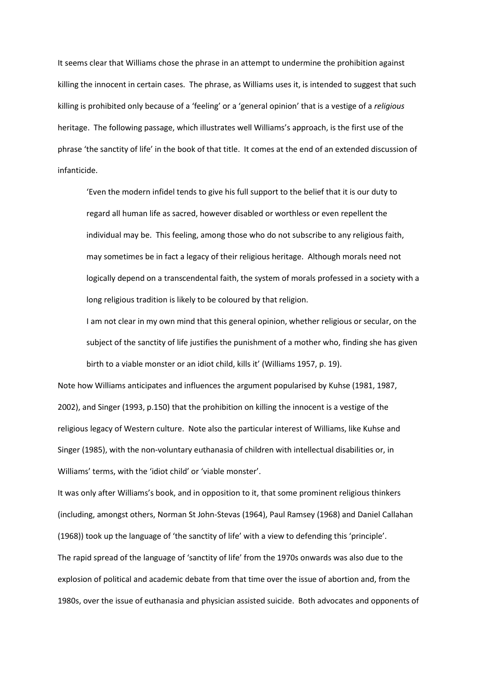It seems clear that Williams chose the phrase in an attempt to undermine the prohibition against killing the innocent in certain cases. The phrase, as Williams uses it, is intended to suggest that such killing is prohibited only because of a 'feeling' or a 'general opinion' that is a vestige of a *religious* heritage. The following passage, which illustrates well Williams's approach, is the first use of the phrase 'the sanctity of life' in the book of that title. It comes at the end of an extended discussion of infanticide.

'Even the modern infidel tends to give his full support to the belief that it is our duty to regard all human life as sacred, however disabled or worthless or even repellent the individual may be. This feeling, among those who do not subscribe to any religious faith, may sometimes be in fact a legacy of their religious heritage. Although morals need not logically depend on a transcendental faith, the system of morals professed in a society with a long religious tradition is likely to be coloured by that religion.

I am not clear in my own mind that this general opinion, whether religious or secular, on the subject of the sanctity of life justifies the punishment of a mother who, finding she has given birth to a viable monster or an idiot child, kills it' (Williams 1957, p. 19).

Note how Williams anticipates and influences the argument popularised by Kuhse (1981, 1987, 2002), and Singer (1993, p.150) that the prohibition on killing the innocent is a vestige of the religious legacy of Western culture. Note also the particular interest of Williams, like Kuhse and Singer (1985), with the non-voluntary euthanasia of children with intellectual disabilities or, in Williams' terms, with the 'idiot child' or 'viable monster'.

It was only after Williams's book, and in opposition to it, that some prominent religious thinkers (including, amongst others, Norman St John-Stevas (1964), Paul Ramsey (1968) and Daniel Callahan (1968)) took up the language of 'the sanctity of life' with a view to defending this 'principle'. The rapid spread of the language of 'sanctity of life' from the 1970s onwards was also due to the explosion of political and academic debate from that time over the issue of abortion and, from the 1980s, over the issue of euthanasia and physician assisted suicide. Both advocates and opponents of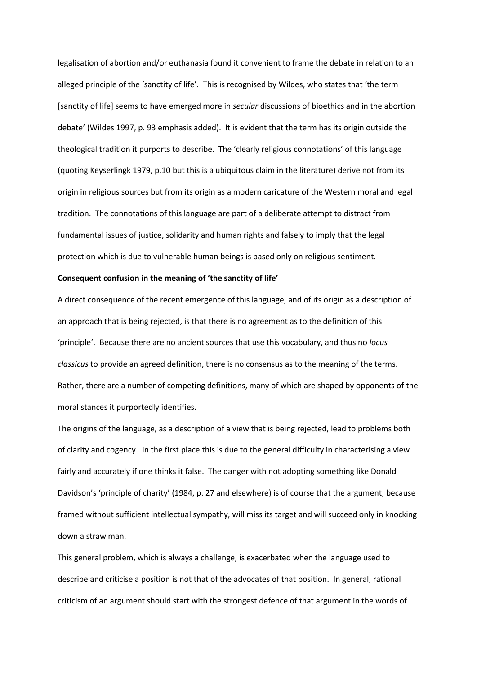legalisation of abortion and/or euthanasia found it convenient to frame the debate in relation to an alleged principle of the 'sanctity of life'. This is recognised by Wildes, who states that 'the term [sanctity of life] seems to have emerged more in *secular* discussions of bioethics and in the abortion debate' (Wildes 1997, p. 93 emphasis added). It is evident that the term has its origin outside the theological tradition it purports to describe. The 'clearly religious connotations' of this language (quoting Keyserlingk 1979, p.10 but this is a ubiquitous claim in the literature) derive not from its origin in religious sources but from its origin as a modern caricature of the Western moral and legal tradition. The connotations of this language are part of a deliberate attempt to distract from fundamental issues of justice, solidarity and human rights and falsely to imply that the legal protection which is due to vulnerable human beings is based only on religious sentiment.

### **Consequent confusion in the meaning of 'the sanctity of life'**

A direct consequence of the recent emergence of this language, and of its origin as a description of an approach that is being rejected, is that there is no agreement as to the definition of this 'principle'. Because there are no ancient sources that use this vocabulary, and thus no *locus classicus* to provide an agreed definition, there is no consensus as to the meaning of the terms. Rather, there are a number of competing definitions, many of which are shaped by opponents of the moral stances it purportedly identifies.

The origins of the language, as a description of a view that is being rejected, lead to problems both of clarity and cogency. In the first place this is due to the general difficulty in characterising a view fairly and accurately if one thinks it false. The danger with not adopting something like Donald Davidson's 'principle of charity' (1984, p. 27 and elsewhere) is of course that the argument, because framed without sufficient intellectual sympathy, will miss its target and will succeed only in knocking down a straw man.

This general problem, which is always a challenge, is exacerbated when the language used to describe and criticise a position is not that of the advocates of that position. In general, rational criticism of an argument should start with the strongest defence of that argument in the words of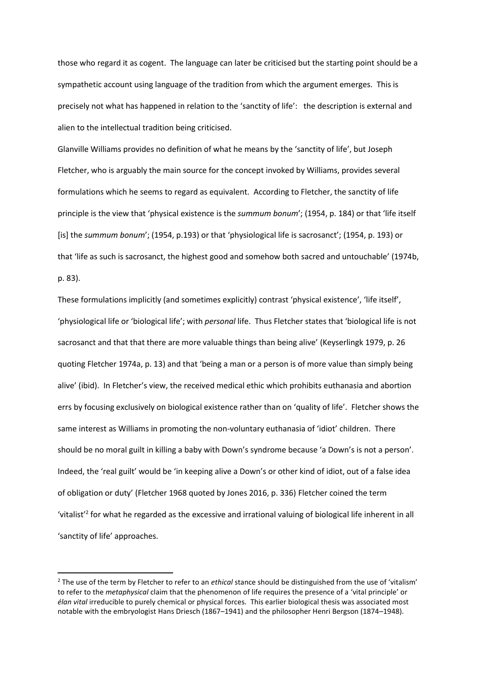those who regard it as cogent. The language can later be criticised but the starting point should be a sympathetic account using language of the tradition from which the argument emerges. This is precisely not what has happened in relation to the 'sanctity of life': the description is external and alien to the intellectual tradition being criticised.

Glanville Williams provides no definition of what he means by the 'sanctity of life', but Joseph Fletcher, who is arguably the main source for the concept invoked by Williams, provides several formulations which he seems to regard as equivalent. According to Fletcher, the sanctity of life principle is the view that 'physical existence is the *summum bonum*'; (1954, p. 184) or that 'life itself [is] the *summum bonum*'; (1954, p.193) or that 'physiological life is sacrosanct'; (1954, p. 193) or that 'life as such is sacrosanct, the highest good and somehow both sacred and untouchable' (1974b, p. 83).

These formulations implicitly (and sometimes explicitly) contrast 'physical existence', 'life itself', 'physiological life or 'biological life'; with *personal* life. Thus Fletcher states that 'biological life is not sacrosanct and that that there are more valuable things than being alive' (Keyserlingk 1979, p. 26 quoting Fletcher 1974a, p. 13) and that 'being a man or a person is of more value than simply being alive' (ibid). In Fletcher's view, the received medical ethic which prohibits euthanasia and abortion errs by focusing exclusively on biological existence rather than on 'quality of life'. Fletcher shows the same interest as Williams in promoting the non-voluntary euthanasia of 'idiot' children. There should be no moral guilt in killing a baby with Down's syndrome because 'a Down's is not a person'. Indeed, the 'real guilt' would be 'in keeping alive a Down's or other kind of idiot, out of a false idea of obligation or duty' (Fletcher 1968 quoted by Jones 2016, p. 336) Fletcher coined the term 'vitalist'<sup>2</sup> for what he regarded as the excessive and irrational valuing of biological life inherent in all 'sanctity of life' approaches.

**.** 

<sup>2</sup> The use of the term by Fletcher to refer to an *ethical* stance should be distinguished from the use of 'vitalism' to refer to the *metaphysical* claim that the phenomenon of life requires the presence of a 'vital principle' or *élan vital* irreducible to purely chemical or physical forces. This earlier biological thesis was associated most notable with the embryologist Hans Driesch (1867–1941) and the philosopher Henri Bergson (1874–1948).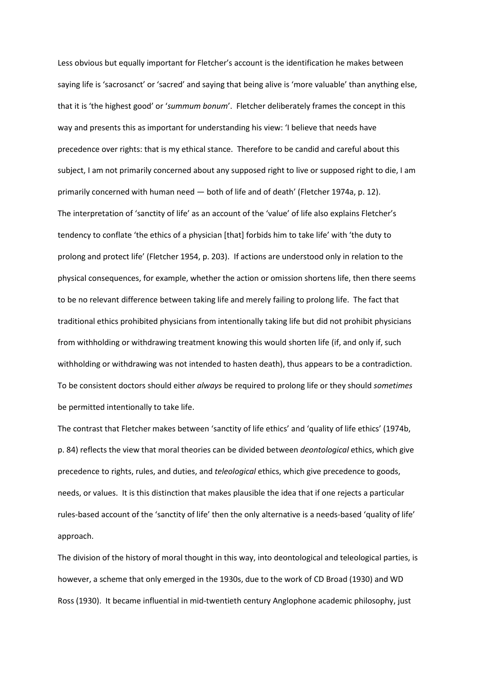Less obvious but equally important for Fletcher's account is the identification he makes between saying life is 'sacrosanct' or 'sacred' and saying that being alive is 'more valuable' than anything else, that it is 'the highest good' or '*summum bonum*'. Fletcher deliberately frames the concept in this way and presents this as important for understanding his view: 'I believe that needs have precedence over rights: that is my ethical stance. Therefore to be candid and careful about this subject, I am not primarily concerned about any supposed right to live or supposed right to die, I am primarily concerned with human need — both of life and of death' (Fletcher 1974a, p. 12). The interpretation of 'sanctity of life' as an account of the 'value' of life also explains Fletcher's tendency to conflate 'the ethics of a physician [that] forbids him to take life' with 'the duty to prolong and protect life' (Fletcher 1954, p. 203). If actions are understood only in relation to the physical consequences, for example, whether the action or omission shortens life, then there seems to be no relevant difference between taking life and merely failing to prolong life. The fact that traditional ethics prohibited physicians from intentionally taking life but did not prohibit physicians from withholding or withdrawing treatment knowing this would shorten life (if, and only if, such withholding or withdrawing was not intended to hasten death), thus appears to be a contradiction. To be consistent doctors should either *always* be required to prolong life or they should *sometimes* be permitted intentionally to take life.

The contrast that Fletcher makes between 'sanctity of life ethics' and 'quality of life ethics' (1974b, p. 84) reflects the view that moral theories can be divided between *deontological* ethics, which give precedence to rights, rules, and duties, and *teleological* ethics, which give precedence to goods, needs, or values. It is this distinction that makes plausible the idea that if one rejects a particular rules-based account of the 'sanctity of life' then the only alternative is a needs-based 'quality of life' approach.

The division of the history of moral thought in this way, into deontological and teleological parties, is however, a scheme that only emerged in the 1930s, due to the work of CD Broad (1930) and WD Ross (1930). It became influential in mid-twentieth century Anglophone academic philosophy, just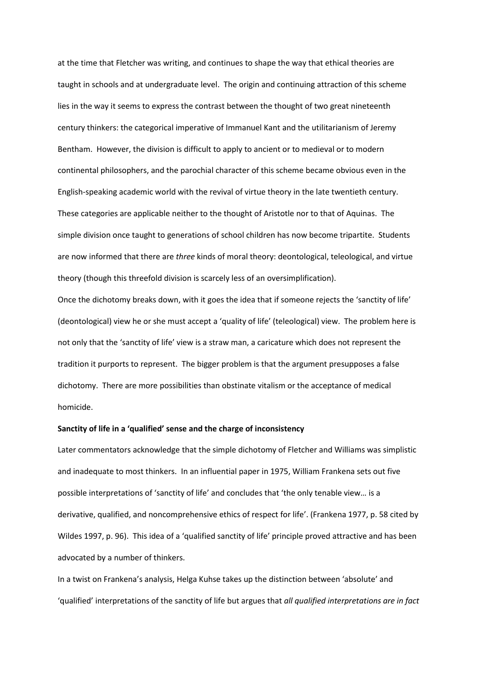at the time that Fletcher was writing, and continues to shape the way that ethical theories are taught in schools and at undergraduate level. The origin and continuing attraction of this scheme lies in the way it seems to express the contrast between the thought of two great nineteenth century thinkers: the categorical imperative of Immanuel Kant and the utilitarianism of Jeremy Bentham. However, the division is difficult to apply to ancient or to medieval or to modern continental philosophers, and the parochial character of this scheme became obvious even in the English-speaking academic world with the revival of virtue theory in the late twentieth century. These categories are applicable neither to the thought of Aristotle nor to that of Aquinas. The simple division once taught to generations of school children has now become tripartite. Students are now informed that there are *three* kinds of moral theory: deontological, teleological, and virtue theory (though this threefold division is scarcely less of an oversimplification).

Once the dichotomy breaks down, with it goes the idea that if someone rejects the 'sanctity of life' (deontological) view he or she must accept a 'quality of life' (teleological) view. The problem here is not only that the 'sanctity of life' view is a straw man, a caricature which does not represent the tradition it purports to represent. The bigger problem is that the argument presupposes a false dichotomy. There are more possibilities than obstinate vitalism or the acceptance of medical homicide.

## **Sanctity of life in a 'qualified' sense and the charge of inconsistency**

Later commentators acknowledge that the simple dichotomy of Fletcher and Williams was simplistic and inadequate to most thinkers. In an influential paper in 1975, William Frankena sets out five possible interpretations of 'sanctity of life' and concludes that 'the only tenable view… is a derivative, qualified, and noncomprehensive ethics of respect for life'. (Frankena 1977, p. 58 cited by Wildes 1997, p. 96). This idea of a 'qualified sanctity of life' principle proved attractive and has been advocated by a number of thinkers.

In a twist on Frankena's analysis, Helga Kuhse takes up the distinction between 'absolute' and 'qualified' interpretations of the sanctity of life but argues that *all qualified interpretations are in fact*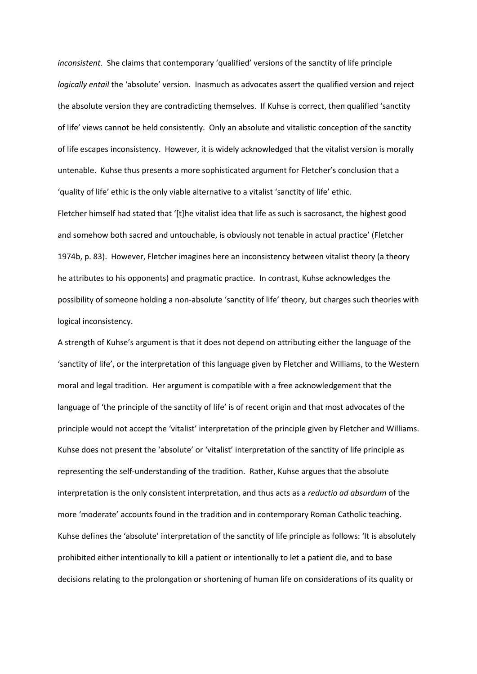*inconsistent*. She claims that contemporary 'qualified' versions of the sanctity of life principle *logically entail* the 'absolute' version. Inasmuch as advocates assert the qualified version and reject the absolute version they are contradicting themselves. If Kuhse is correct, then qualified 'sanctity of life' views cannot be held consistently. Only an absolute and vitalistic conception of the sanctity of life escapes inconsistency. However, it is widely acknowledged that the vitalist version is morally untenable. Kuhse thus presents a more sophisticated argument for Fletcher's conclusion that a 'quality of life' ethic is the only viable alternative to a vitalist 'sanctity of life' ethic.

Fletcher himself had stated that '[t]he vitalist idea that life as such is sacrosanct, the highest good and somehow both sacred and untouchable, is obviously not tenable in actual practice' (Fletcher 1974b, p. 83). However, Fletcher imagines here an inconsistency between vitalist theory (a theory he attributes to his opponents) and pragmatic practice. In contrast, Kuhse acknowledges the possibility of someone holding a non-absolute 'sanctity of life' theory, but charges such theories with logical inconsistency.

A strength of Kuhse's argument is that it does not depend on attributing either the language of the 'sanctity of life', or the interpretation of this language given by Fletcher and Williams, to the Western moral and legal tradition. Her argument is compatible with a free acknowledgement that the language of 'the principle of the sanctity of life' is of recent origin and that most advocates of the principle would not accept the 'vitalist' interpretation of the principle given by Fletcher and Williams. Kuhse does not present the 'absolute' or 'vitalist' interpretation of the sanctity of life principle as representing the self-understanding of the tradition. Rather, Kuhse argues that the absolute interpretation is the only consistent interpretation, and thus acts as a *reductio ad absurdum* of the more 'moderate' accounts found in the tradition and in contemporary Roman Catholic teaching. Kuhse defines the 'absolute' interpretation of the sanctity of life principle as follows: 'It is absolutely prohibited either intentionally to kill a patient or intentionally to let a patient die, and to base decisions relating to the prolongation or shortening of human life on considerations of its quality or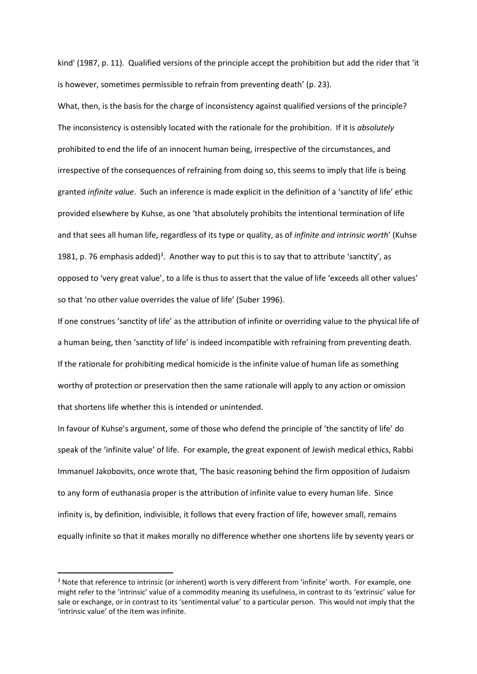kind' (1987, p. 11). Qualified versions of the principle accept the prohibition but add the rider that 'it is however, sometimes permissible to refrain from preventing death' (p. 23).

What, then, is the basis for the charge of inconsistency against qualified versions of the principle? The inconsistency is ostensibly located with the rationale for the prohibition. If it is *absolutely* prohibited to end the life of an innocent human being, irrespective of the circumstances, and irrespective of the consequences of refraining from doing so, this seems to imply that life is being granted *infinite value*. Such an inference is made explicit in the definition of a 'sanctity of life' ethic provided elsewhere by Kuhse, as one 'that absolutely prohibits the intentional termination of life and that sees all human life, regardless of its type or quality, as of *infinite and intrinsic worth*' (Kuhse 1981, p. 76 emphasis added)<sup>3</sup>. Another way to put this is to say that to attribute 'sanctity', as opposed to 'very great value', to a life is thus to assert that the value of life 'exceeds all other values' so that 'no other value overrides the value of life' (Suber 1996).

If one construes 'sanctity of life' as the attribution of infinite or overriding value to the physical life of a human being, then 'sanctity of life' is indeed incompatible with refraining from preventing death. If the rationale for prohibiting medical homicide is the infinite value of human life as something worthy of protection or preservation then the same rationale will apply to any action or omission that shortens life whether this is intended or unintended.

In favour of Kuhse's argument, some of those who defend the principle of 'the sanctity of life' do speak of the 'infinite value' of life. For example, the great exponent of Jewish medical ethics, Rabbi Immanuel Jakobovits, once wrote that, 'The basic reasoning behind the firm opposition of Judaism to any form of euthanasia proper is the attribution of infinite value to every human life. Since infinity is, by definition, indivisible, it follows that every fraction of life, however small, remains equally infinite so that it makes morally no difference whether one shortens life by seventy years or

**.** 

<sup>&</sup>lt;sup>3</sup> Note that reference to intrinsic (or inherent) worth is very different from 'infinite' worth. For example, one might refer to the 'intrinsic' value of a commodity meaning its usefulness, in contrast to its 'extrinsic' value for sale or exchange, or in contrast to its 'sentimental value' to a particular person. This would not imply that the 'intrinsic value' of the item was infinite.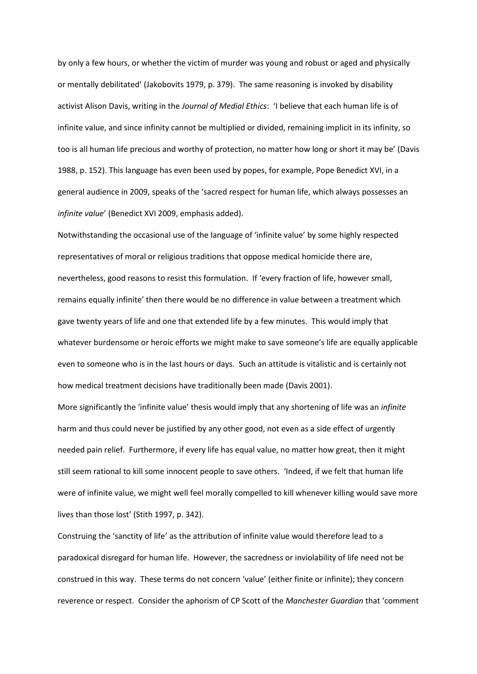by only a few hours, or whether the victim of murder was young and robust or aged and physically or mentally debilitated' (Jakobovits 1979, p. 379). The same reasoning is invoked by disability activist Alison Davis, writing in the *Journal of Medial Ethics*: 'I believe that each human life is of infinite value, and since infinity cannot be multiplied or divided, remaining implicit in its infinity, so too is all human life precious and worthy of protection, no matter how long or short it may be' (Davis 1988, p. 152). This language has even been used by popes, for example, Pope Benedict XVI, in a general audience in 2009, speaks of the 'sacred respect for human life, which always possesses an *infinite value*' (Benedict XVI 2009, emphasis added).

Notwithstanding the occasional use of the language of 'infinite value' by some highly respected representatives of moral or religious traditions that oppose medical homicide there are, nevertheless, good reasons to resist this formulation. If 'every fraction of life, however small, remains equally infinite' then there would be no difference in value between a treatment which gave twenty years of life and one that extended life by a few minutes. This would imply that whatever burdensome or heroic efforts we might make to save someone's life are equally applicable even to someone who is in the last hours or days. Such an attitude is vitalistic and is certainly not how medical treatment decisions have traditionally been made (Davis 2001).

More significantly the 'infinite value' thesis would imply that any shortening of life was an *infinite* harm and thus could never be justified by any other good, not even as a side effect of urgently needed pain relief. Furthermore, if every life has equal value, no matter how great, then it might still seem rational to kill some innocent people to save others. 'Indeed, if we felt that human life were of infinite value, we might well feel morally compelled to kill whenever killing would save more lives than those lost' (Stith 1997, p. 342).

Construing the 'sanctity of life' as the attribution of infinite value would therefore lead to a paradoxical disregard for human life. However, the sacredness or inviolability of life need not be construed in this way. These terms do not concern 'value' (either finite or infinite); they concern reverence or respect. Consider the aphorism of CP Scott of the *Manchester Guardian* that 'comment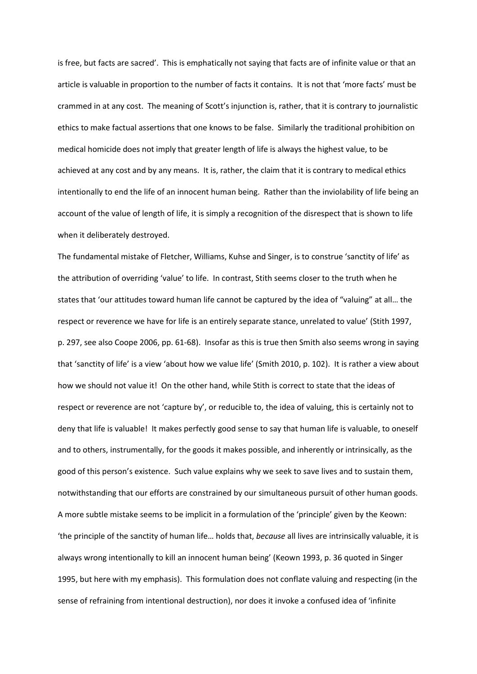is free, but facts are sacred'. This is emphatically not saying that facts are of infinite value or that an article is valuable in proportion to the number of facts it contains. It is not that 'more facts' must be crammed in at any cost. The meaning of Scott's injunction is, rather, that it is contrary to journalistic ethics to make factual assertions that one knows to be false. Similarly the traditional prohibition on medical homicide does not imply that greater length of life is always the highest value, to be achieved at any cost and by any means. It is, rather, the claim that it is contrary to medical ethics intentionally to end the life of an innocent human being. Rather than the inviolability of life being an account of the value of length of life, it is simply a recognition of the disrespect that is shown to life when it deliberately destroyed.

The fundamental mistake of Fletcher, Williams, Kuhse and Singer, is to construe 'sanctity of life' as the attribution of overriding 'value' to life. In contrast, Stith seems closer to the truth when he states that 'our attitudes toward human life cannot be captured by the idea of "valuing" at all… the respect or reverence we have for life is an entirely separate stance, unrelated to value' (Stith 1997, p. 297, see also Coope 2006, pp. 61-68). Insofar as this is true then Smith also seems wrong in saying that 'sanctity of life' is a view 'about how we value life' (Smith 2010, p. 102). It is rather a view about how we should not value it! On the other hand, while Stith is correct to state that the ideas of respect or reverence are not 'capture by', or reducible to, the idea of valuing, this is certainly not to deny that life is valuable! It makes perfectly good sense to say that human life is valuable, to oneself and to others, instrumentally, for the goods it makes possible, and inherently or intrinsically, as the good of this person's existence. Such value explains why we seek to save lives and to sustain them, notwithstanding that our efforts are constrained by our simultaneous pursuit of other human goods. A more subtle mistake seems to be implicit in a formulation of the 'principle' given by the Keown: 'the principle of the sanctity of human life… holds that, *because* all lives are intrinsically valuable, it is always wrong intentionally to kill an innocent human being' (Keown 1993, p. 36 quoted in Singer 1995, but here with my emphasis). This formulation does not conflate valuing and respecting (in the sense of refraining from intentional destruction), nor does it invoke a confused idea of 'infinite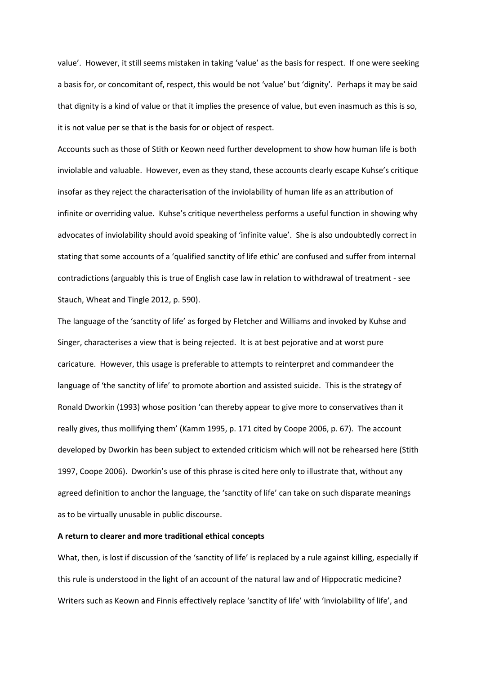value'. However, it still seems mistaken in taking 'value' as the basis for respect. If one were seeking a basis for, or concomitant of, respect, this would be not 'value' but 'dignity'. Perhaps it may be said that dignity is a kind of value or that it implies the presence of value, but even inasmuch as this is so, it is not value per se that is the basis for or object of respect.

Accounts such as those of Stith or Keown need further development to show how human life is both inviolable and valuable. However, even as they stand, these accounts clearly escape Kuhse's critique insofar as they reject the characterisation of the inviolability of human life as an attribution of infinite or overriding value. Kuhse's critique nevertheless performs a useful function in showing why advocates of inviolability should avoid speaking of 'infinite value'. She is also undoubtedly correct in stating that some accounts of a 'qualified sanctity of life ethic' are confused and suffer from internal contradictions (arguably this is true of English case law in relation to withdrawal of treatment - see Stauch, Wheat and Tingle 2012, p. 590).

The language of the 'sanctity of life' as forged by Fletcher and Williams and invoked by Kuhse and Singer, characterises a view that is being rejected. It is at best pejorative and at worst pure caricature. However, this usage is preferable to attempts to reinterpret and commandeer the language of 'the sanctity of life' to promote abortion and assisted suicide. This is the strategy of Ronald Dworkin (1993) whose position 'can thereby appear to give more to conservatives than it really gives, thus mollifying them' (Kamm 1995, p. 171 cited by Coope 2006, p. 67). The account developed by Dworkin has been subject to extended criticism which will not be rehearsed here (Stith 1997, Coope 2006). Dworkin's use of this phrase is cited here only to illustrate that, without any agreed definition to anchor the language, the 'sanctity of life' can take on such disparate meanings as to be virtually unusable in public discourse.

### **A return to clearer and more traditional ethical concepts**

What, then, is lost if discussion of the 'sanctity of life' is replaced by a rule against killing, especially if this rule is understood in the light of an account of the natural law and of Hippocratic medicine? Writers such as Keown and Finnis effectively replace 'sanctity of life' with 'inviolability of life', and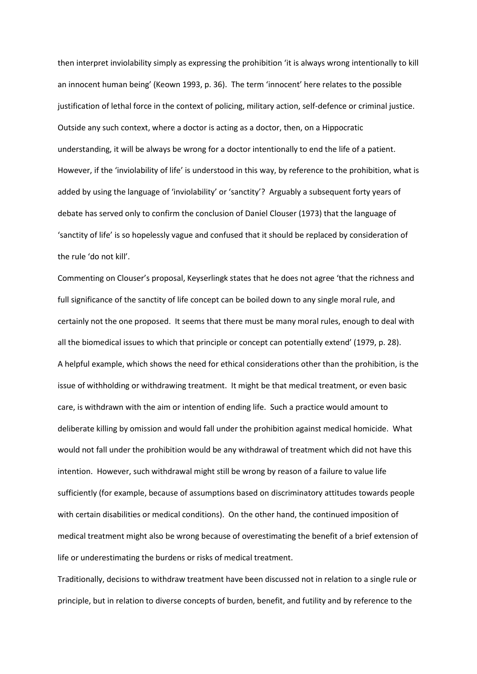then interpret inviolability simply as expressing the prohibition 'it is always wrong intentionally to kill an innocent human being' (Keown 1993, p. 36). The term 'innocent' here relates to the possible justification of lethal force in the context of policing, military action, self-defence or criminal justice. Outside any such context, where a doctor is acting as a doctor, then, on a Hippocratic understanding, it will be always be wrong for a doctor intentionally to end the life of a patient. However, if the 'inviolability of life' is understood in this way, by reference to the prohibition, what is added by using the language of 'inviolability' or 'sanctity'? Arguably a subsequent forty years of debate has served only to confirm the conclusion of Daniel Clouser (1973) that the language of 'sanctity of life' is so hopelessly vague and confused that it should be replaced by consideration of the rule 'do not kill'.

Commenting on Clouser's proposal, Keyserlingk states that he does not agree 'that the richness and full significance of the sanctity of life concept can be boiled down to any single moral rule, and certainly not the one proposed. It seems that there must be many moral rules, enough to deal with all the biomedical issues to which that principle or concept can potentially extend' (1979, p. 28). A helpful example, which shows the need for ethical considerations other than the prohibition, is the issue of withholding or withdrawing treatment. It might be that medical treatment, or even basic care, is withdrawn with the aim or intention of ending life. Such a practice would amount to deliberate killing by omission and would fall under the prohibition against medical homicide. What would not fall under the prohibition would be any withdrawal of treatment which did not have this intention. However, such withdrawal might still be wrong by reason of a failure to value life sufficiently (for example, because of assumptions based on discriminatory attitudes towards people with certain disabilities or medical conditions). On the other hand, the continued imposition of medical treatment might also be wrong because of overestimating the benefit of a brief extension of life or underestimating the burdens or risks of medical treatment.

Traditionally, decisions to withdraw treatment have been discussed not in relation to a single rule or principle, but in relation to diverse concepts of burden, benefit, and futility and by reference to the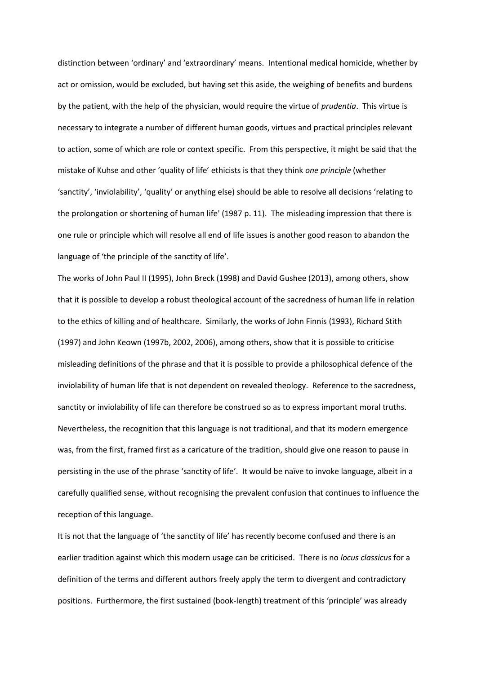distinction between 'ordinary' and 'extraordinary' means. Intentional medical homicide, whether by act or omission, would be excluded, but having set this aside, the weighing of benefits and burdens by the patient, with the help of the physician, would require the virtue of *prudentia*. This virtue is necessary to integrate a number of different human goods, virtues and practical principles relevant to action, some of which are role or context specific. From this perspective, it might be said that the mistake of Kuhse and other 'quality of life' ethicists is that they think *one principle* (whether 'sanctity', 'inviolability', 'quality' or anything else) should be able to resolve all decisions 'relating to the prolongation or shortening of human life' (1987 p. 11). The misleading impression that there is one rule or principle which will resolve all end of life issues is another good reason to abandon the language of 'the principle of the sanctity of life'.

The works of John Paul II (1995), John Breck (1998) and David Gushee (2013), among others, show that it is possible to develop a robust theological account of the sacredness of human life in relation to the ethics of killing and of healthcare. Similarly, the works of John Finnis (1993), Richard Stith (1997) and John Keown (1997b, 2002, 2006), among others, show that it is possible to criticise misleading definitions of the phrase and that it is possible to provide a philosophical defence of the inviolability of human life that is not dependent on revealed theology. Reference to the sacredness, sanctity or inviolability of life can therefore be construed so as to express important moral truths. Nevertheless, the recognition that this language is not traditional, and that its modern emergence was, from the first, framed first as a caricature of the tradition, should give one reason to pause in persisting in the use of the phrase 'sanctity of life'. It would be naïve to invoke language, albeit in a carefully qualified sense, without recognising the prevalent confusion that continues to influence the reception of this language.

It is not that the language of 'the sanctity of life' has recently become confused and there is an earlier tradition against which this modern usage can be criticised. There is no *locus classicus* for a definition of the terms and different authors freely apply the term to divergent and contradictory positions. Furthermore, the first sustained (book-length) treatment of this 'principle' was already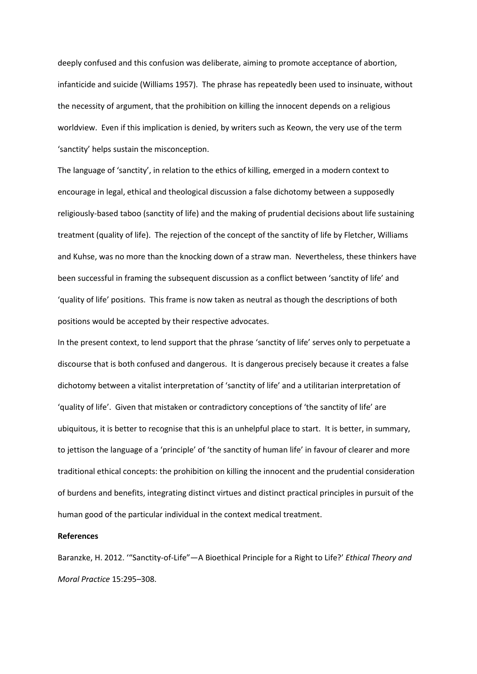deeply confused and this confusion was deliberate, aiming to promote acceptance of abortion, infanticide and suicide (Williams 1957). The phrase has repeatedly been used to insinuate, without the necessity of argument, that the prohibition on killing the innocent depends on a religious worldview. Even if this implication is denied, by writers such as Keown, the very use of the term 'sanctity' helps sustain the misconception.

The language of 'sanctity', in relation to the ethics of killing, emerged in a modern context to encourage in legal, ethical and theological discussion a false dichotomy between a supposedly religiously-based taboo (sanctity of life) and the making of prudential decisions about life sustaining treatment (quality of life). The rejection of the concept of the sanctity of life by Fletcher, Williams and Kuhse, was no more than the knocking down of a straw man. Nevertheless, these thinkers have been successful in framing the subsequent discussion as a conflict between 'sanctity of life' and 'quality of life' positions. This frame is now taken as neutral as though the descriptions of both positions would be accepted by their respective advocates.

In the present context, to lend support that the phrase 'sanctity of life' serves only to perpetuate a discourse that is both confused and dangerous. It is dangerous precisely because it creates a false dichotomy between a vitalist interpretation of 'sanctity of life' and a utilitarian interpretation of 'quality of life'. Given that mistaken or contradictory conceptions of 'the sanctity of life' are ubiquitous, it is better to recognise that this is an unhelpful place to start. It is better, in summary, to jettison the language of a 'principle' of 'the sanctity of human life' in favour of clearer and more traditional ethical concepts: the prohibition on killing the innocent and the prudential consideration of burdens and benefits, integrating distinct virtues and distinct practical principles in pursuit of the human good of the particular individual in the context medical treatment.

#### **References**

Baranzke, H. 2012. '"Sanctity-of-Life"—A Bioethical Principle for a Right to Life?' *Ethical Theory and Moral Practice* 15:295–308.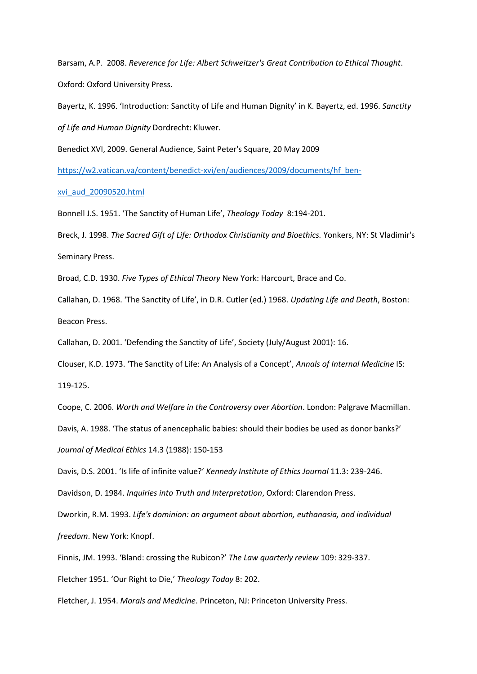Barsam, A.P. 2008. *Reverence for Life: Albert Schweitzer's Great Contribution to Ethical Thought*. Oxford: Oxford University Press.

Bayertz, K. 1996. 'Introduction: Sanctity of Life and Human Dignity' in K. Bayertz, ed. 1996. *Sanctity of Life and Human Dignity* Dordrecht: Kluwer.

Benedict XVI, 2009. General Audience, Saint Peter's Square, 20 May 2009

[https://w2.vatican.va/content/benedict-xvi/en/audiences/2009/documents/hf\\_ben-](https://w2.vatican.va/content/benedict-xvi/en/audiences/2009/documents/hf_ben-xvi_aud_20090520.html)

[xvi\\_aud\\_20090520.html](https://w2.vatican.va/content/benedict-xvi/en/audiences/2009/documents/hf_ben-xvi_aud_20090520.html)

Bonnell J.S. 1951. 'The Sanctity of Human Life', *Theology Today* 8:194-201.

Breck, J. 1998. *The Sacred Gift of Life: Orthodox Christianity and Bioethics.* Yonkers, NY: St Vladimir's Seminary Press.

Broad, C.D. 1930. *Five Types of Ethical Theory* New York: Harcourt, Brace and Co.

Callahan, D. 1968. 'The Sanctity of Life', in D.R. Cutler (ed.) 1968. *Updating Life and Death*, Boston: Beacon Press.

Callahan, D. 2001. 'Defending the Sanctity of Life', Society (July/August 2001): 16.

Clouser, K.D. 1973. 'The Sanctity of Life: An Analysis of a Concept', *Annals of Internal Medicine* IS:

119-125.

Coope, C. 2006. *Worth and Welfare in the Controversy over Abortion*. London: Palgrave Macmillan.

Davis, A. 1988. 'The status of anencephalic babies: should their bodies be used as donor banks?'

*Journal of Medical Ethics* 14.3 (1988): 150-153

Davis, D.S. 2001. 'Is life of infinite value?' *Kennedy Institute of Ethics Journal* 11.3: 239-246.

Davidson, D. 1984. *Inquiries into Truth and Interpretation*, Oxford: Clarendon Press.

Dworkin, R.M. 1993. *Life's dominion: an argument about abortion, euthanasia, and individual freedom*. New York: Knopf.

Finnis, JM. 1993. 'Bland: crossing the Rubicon?' *The Law quarterly review* 109: 329-337.

Fletcher 1951. 'Our Right to Die,' *Theology Today* 8: 202.

Fletcher, J. 1954. *Morals and Medicine*. Princeton, NJ: Princeton University Press.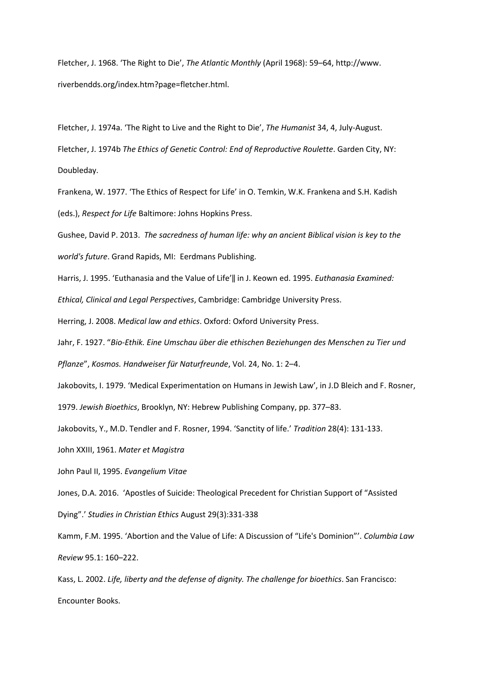Fletcher, J. 1968. 'The Right to Die', *The Atlantic Monthly* (April 1968): 59–64, http://www. riverbendds.org/index.htm?page=fletcher.html.

Fletcher, J. 1974a. 'The Right to Live and the Right to Die', *The Humanist* 34, 4, July-August. Fletcher, J. 1974b *The Ethics of Genetic Control: End of Reproductive Roulette*. Garden City, NY: Doubleday.

Frankena, W. 1977. 'The Ethics of Respect for Life' in O. Temkin, W.K. Frankena and S.H. Kadish (eds.), *Respect for Life* Baltimore: Johns Hopkins Press.

Gushee, David P. 2013. *The sacredness of human life: why an ancient Biblical vision is key to the world's future*. Grand Rapids, MI: Eerdmans Publishing.

Harris, J. 1995. 'Euthanasia and the Value of Life'‖ in J. Keown ed. 1995. *Euthanasia Examined:* 

*Ethical, Clinical and Legal Perspectives*, Cambridge: Cambridge University Press.

Herring, J. 2008. *Medical law and ethics*. Oxford: Oxford University Press.

Jahr, F. 1927. "*Bio-Ethik. Eine Umschau über die ethischen Beziehungen des Menschen zu Tier und* 

*Pflanze*", *Kosmos. Handweiser für Naturfreunde*, Vol. 24, No. 1: 2–4.

Jakobovits, I. 1979. 'Medical Experimentation on Humans in Jewish Law', in J.D Bleich and F. Rosner,

1979. *Jewish Bioethics*, Brooklyn, NY: Hebrew Publishing Company, pp. 377–83.

Jakobovits, Y., M.D. Tendler and F. Rosner, 1994. 'Sanctity of life.' *Tradition* 28(4): 131-133.

John XXIII, 1961. *Mater et Magistra*

John Paul II, 1995. *Evangelium Vitae*

Jones, D.A. 2016. 'Apostles of Suicide: Theological Precedent for Christian Support of "Assisted

Dying".' *Studies in Christian Ethics* August 29(3):331-338

Kamm, F.M. 1995. 'Abortion and the Value of Life: A Discussion of "Life's Dominion"'. *Columbia Law Review* 95.1: 160–222.

Kass, L. 2002. *Life, liberty and the defense of dignity. The challenge for bioethics*. San Francisco: Encounter Books.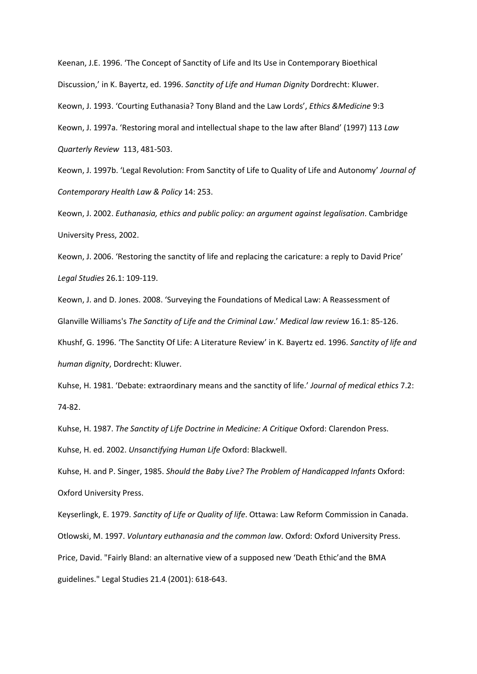Keenan, J.E. 1996. 'The Concept of Sanctity of Life and Its Use in Contemporary Bioethical Discussion,' in K. Bayertz, ed. 1996. *Sanctity of Life and Human Dignity* Dordrecht: Kluwer. Keown, J. 1993. 'Courting Euthanasia? Tony Bland and the Law Lords', *Ethics &Medicine* 9:3 Keown, J. 1997a. 'Restoring moral and intellectual shape to the law after Bland' (1997) 113 *Law Quarterly Review* 113, 481-503.

Keown, J. 1997b. 'Legal Revolution: From Sanctity of Life to Quality of Life and Autonomy' *Journal of Contemporary Health Law & Policy* 14: 253.

Keown, J. 2002. *Euthanasia, ethics and public policy: an argument against legalisation*. Cambridge University Press, 2002.

Keown, J. 2006. 'Restoring the sanctity of life and replacing the caricature: a reply to David Price' *Legal Studies* 26.1: 109-119.

Keown, J. and D. Jones. 2008. 'Surveying the Foundations of Medical Law: A Reassessment of Glanville Williams's *The Sanctity of Life and the Criminal Law*.' *Medical law review* 16.1: 85-126. Khushf, G. 1996. 'The Sanctity Of Life: A Literature Review' in K. Bayertz ed. 1996. *Sanctity of life and human dignity*, Dordrecht: Kluwer.

Kuhse, H. 1981. 'Debate: extraordinary means and the sanctity of life.' *Journal of medical ethics* 7.2: 74-82.

Kuhse, H. 1987. *The Sanctity of Life Doctrine in Medicine: A Critique* Oxford: Clarendon Press.

Kuhse, H. ed. 2002. *Unsanctifying Human Life* Oxford: Blackwell.

Kuhse, H. and P. Singer, 1985. *Should the Baby Live? The Problem of Handicapped Infants* Oxford: Oxford University Press.

Keyserlingk, E. 1979. *Sanctity of Life or Quality of life*. Ottawa: Law Reform Commission in Canada. Otlowski, M. 1997. *Voluntary euthanasia and the common law*. Oxford: Oxford University Press. Price, David. "Fairly Bland: an alternative view of a supposed new 'Death Ethic'and the BMA guidelines." Legal Studies 21.4 (2001): 618-643.